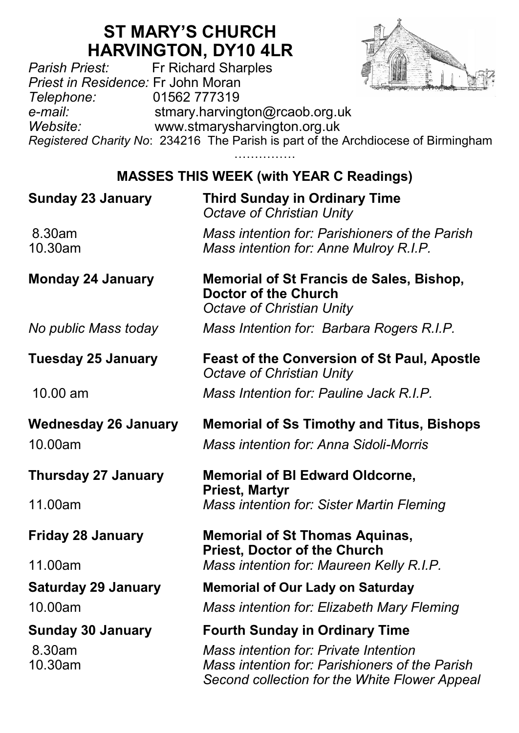# **ST MARY'S CHURCH HARVINGTON, DY10 4LR**<br>Fr Richard Sharples



*Parish Priest:* Fr Richard Sharples *Priest in Residence:* Fr John Moran *Telephone:* 01562 777319 *e-mail:* stmary.harvington@rcaob.org.uk *Website:* www.stmarysharvington.org.uk *Registered Charity No*: 234216 The Parish is part of the Archdiocese of Birmingham

……………

#### **MASSES THIS WEEK (with YEAR C Readings)**

| <b>Sunday 23 January</b>    | <b>Third Sunday in Ordinary Time</b><br>Octave of Christian Unity                                            |  |
|-----------------------------|--------------------------------------------------------------------------------------------------------------|--|
| 8.30am<br>10.30am           | Mass intention for: Parishioners of the Parish<br>Mass intention for: Anne Mulroy R.I.P.                     |  |
| <b>Monday 24 January</b>    | Memorial of St Francis de Sales, Bishop,<br>Doctor of the Church<br>Octave of Christian Unity                |  |
| No public Mass today        | Mass Intention for: Barbara Rogers R.I.P.                                                                    |  |
| <b>Tuesday 25 January</b>   | <b>Feast of the Conversion of St Paul, Apostle</b><br>Octave of Christian Unity                              |  |
| 10.00 am                    | Mass Intention for: Pauline Jack R.I.P.                                                                      |  |
| <b>Wednesday 26 January</b> | <b>Memorial of Ss Timothy and Titus, Bishops</b>                                                             |  |
| 10.00am                     | Mass intention for: Anna Sidoli-Morris                                                                       |  |
| <b>Thursday 27 January</b>  | <b>Memorial of BI Edward Oldcorne,</b><br><b>Priest, Martyr</b><br>Mass intention for: Sister Martin Fleming |  |
| 11.00am                     |                                                                                                              |  |
| <b>Friday 28 January</b>    | <b>Memorial of St Thomas Aquinas,</b><br><b>Priest, Doctor of the Church</b>                                 |  |
| 11.00am                     | Mass intention for: Maureen Kelly R.I.P.                                                                     |  |
| <b>Saturday 29 January</b>  | <b>Memorial of Our Lady on Saturday</b>                                                                      |  |
| 10.00am                     | Mass intention for: Elizabeth Mary Fleming                                                                   |  |
| <b>Sunday 30 January</b>    | <b>Fourth Sunday in Ordinary Time</b>                                                                        |  |
| 8.30am                      | Mass intention for: Private Intention                                                                        |  |
| 10.30am                     | Mass intention for: Parishioners of the Parish<br>Second collection for the White Flower Appeal              |  |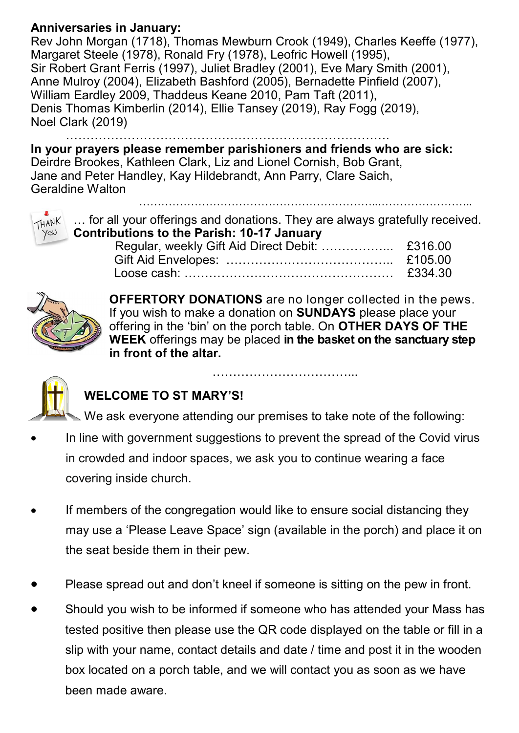#### **Anniversaries in January:**

Rev John Morgan (1718), Thomas Mewburn Crook (1949), Charles Keeffe (1977), Margaret Steele (1978), Ronald Fry (1978), Leofric Howell (1995), Sir Robert Grant Ferris (1997), Juliet Bradley (2001), Eve Mary Smith (2001), Anne Mulroy (2004), Elizabeth Bashford (2005), Bernadette Pinfield (2007), William Eardley 2009, Thaddeus Keane 2010, Pam Taft (2011), Denis Thomas Kimberlin (2014), Ellie Tansey (2019), Ray Fogg (2019), Noel Clark (2019)

…………………………………………………………………….

**In your prayers please remember parishioners and friends who are sick:**  Deirdre Brookes, Kathleen Clark, Liz and Lionel Cornish, Bob Grant, Jane and Peter Handley, Kay Hildebrandt, Ann Parry, Clare Saich, Geraldine Walton ………………………………………………………..……………………..



… for all your offerings and donations. They are always gratefully received. **Contributions to the Parish: 10-17 January** Regular, weekly Gift Aid Direct Debit: ……………... £316.00

| $R_{\rm U}$ in $R_{\rm U}$ and $R_{\rm U}$ are $R_{\rm U}$ and $R_{\rm U}$ are $R_{\rm U}$ and $R_{\rm U}$ and $R_{\rm U}$ are $R_{\rm U}$ and $R_{\rm U}$ are $R_{\rm U}$ and $R_{\rm U}$ are $R_{\rm U}$ and $R_{\rm U}$ are $R_{\rm U}$ and $R_{\rm U}$ are $R_{\rm U}$ are |         |
|--------------------------------------------------------------------------------------------------------------------------------------------------------------------------------------------------------------------------------------------------------------------------------|---------|
|                                                                                                                                                                                                                                                                                |         |
|                                                                                                                                                                                                                                                                                | £334.30 |
|                                                                                                                                                                                                                                                                                |         |



**OFFERTORY DONATIONS** are no longer collected in the pews. If you wish to make a donation on **SUNDAYS** please place your offering in the 'bin' on the porch table. On **OTHER DAYS OF THE WEEK** offerings may be placed **in the basket on the sanctuary step in front of the altar.** 

…………………………………………



### **WELCOME TO ST MARY'S!**

We ask everyone attending our premises to take note of the following:

- In line with government suggestions to prevent the spread of the Covid virus in crowded and indoor spaces, we ask you to continue wearing a face covering inside church.
- If members of the congregation would like to ensure social distancing they may use a 'Please Leave Space' sign (available in the porch) and place it on the seat beside them in their pew.
- Please spread out and don't kneel if someone is sitting on the pew in front.
- Should you wish to be informed if someone who has attended your Mass has tested positive then please use the QR code displayed on the table or fill in a slip with your name, contact details and date / time and post it in the wooden box located on a porch table, and we will contact you as soon as we have been made aware.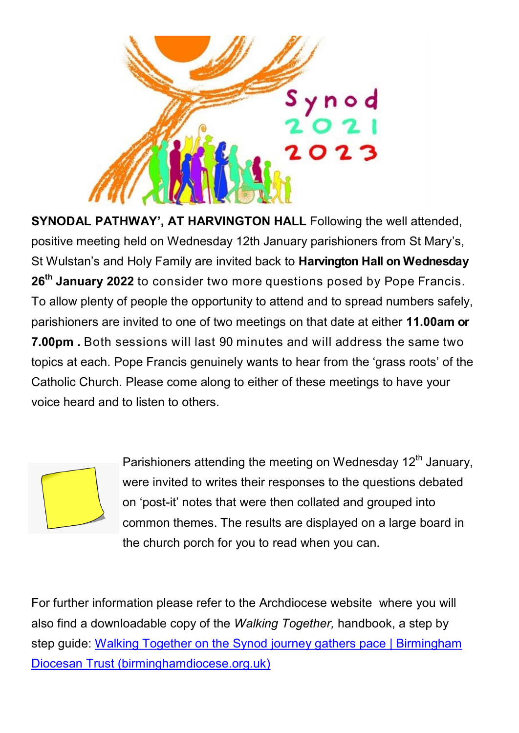

**SYNODAL PATHWAY', AT HARVINGTON HALL** Following the well attended, positive meeting held on Wednesday 12th January parishioners from St Mary's, St Wulstan's and Holy Family are invited back to **Harvington Hall on Wednesday 26th January 2022** to consider two more questions posed by Pope Francis. To allow plenty of people the opportunity to attend and to spread numbers safely, parishioners are invited to one of two meetings on that date at either **11.00am or 7.00pm .** Both sessions will last 90 minutes and will address the same two topics at each. Pope Francis genuinely wants to hear from the 'grass roots' of the Catholic Church. Please come along to either of these meetings to have your voice heard and to listen to others.

Parishioners attending the meeting on Wednesday 12<sup>th</sup> January, were invited to writes their responses to the questions debated on 'post-it' notes that were then collated and grouped into common themes. The results are displayed on a large board in the church porch for you to read when you can.

For further information please refer to the Archdiocese website where you will also find a downloadable copy of the *Walking Together,* handbook, a step by step guide: [Walking Together on the Synod journey gathers pace | Birmingham](https://www.birminghamdiocese.org.uk/news/walking-together-on-the-synod-journey-gathers-pace)  [Diocesan Trust \(birminghamdiocese.org.uk\)](https://www.birminghamdiocese.org.uk/news/walking-together-on-the-synod-journey-gathers-pace)